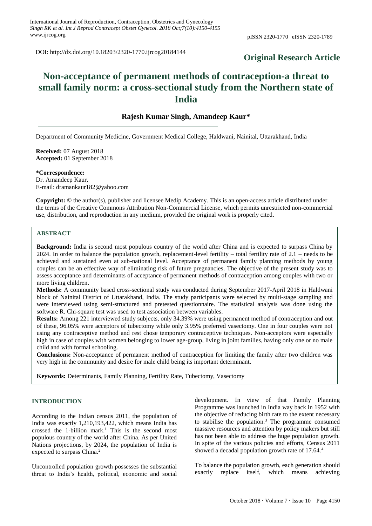DOI: http://dx.doi.org/10.18203/2320-1770.ijrcog20184144

## **Original Research Article**

# **Non-acceptance of permanent methods of contraception-a threat to small family norm: a cross-sectional study from the Northern state of India**

### **Rajesh Kumar Singh, Amandeep Kaur\***

Department of Community Medicine, Government Medical College, Haldwani, Nainital, Uttarakhand, India

**Received:** 07 August 2018 **Accepted:** 01 September 2018

**\*Correspondence:** Dr. Amandeep Kaur, E-mail: dramankaur182@yahoo.com

**Copyright:** © the author(s), publisher and licensee Medip Academy. This is an open-access article distributed under the terms of the Creative Commons Attribution Non-Commercial License, which permits unrestricted non-commercial use, distribution, and reproduction in any medium, provided the original work is properly cited.

#### **ABSTRACT**

**Background:** India is second most populous country of the world after China and is expected to surpass China by 2024. In order to balance the population growth, replacement-level fertility – total fertility rate of 2.1 – needs to be achieved and sustained even at sub-national level. Acceptance of permanent family planning methods by young couples can be an effective way of eliminating risk of future pregnancies. The objective of the present study was to assess acceptance and determinants of acceptance of permanent methods of contraception among couples with two or more living children.

**Methods:** A community based cross-sectional study was conducted during September 2017-April 2018 in Haldwani block of Nainital District of Uttarakhand, India. The study participants were selected by multi-stage sampling and were interviewed using semi-structured and pretested questionnaire. The statistical analysis was done using the software R. Chi-square test was used to test association between variables.

**Results:** Among 221 interviewed study subjects, only 34.39% were using permanent method of contraception and out of these, 96.05% were acceptors of tubectomy while only 3.95% preferred vasectomy. One in four couples were not using any contraceptive method and rest chose temporary contraceptive techniques. Non-acceptors were especially high in case of couples with women belonging to lower age-group, living in joint families, having only one or no male child and with formal schooling.

**Conclusions:** Non-acceptance of permanent method of contraception for limiting the family after two children was very high in the community and desire for male child being its important determinant.

**Keywords:** Determinants, Family Planning, Fertility Rate, Tubectomy, Vasectomy

#### **INTRODUCTION**

According to the Indian census 2011, the population of India was exactly 1,210,193,422, which means India has crossed the 1-billion mark.<sup>1</sup> This is the second most populous country of the world after China. As per United Nations projections, by 2024, the population of India is expected to surpass China.<sup>2</sup>

Uncontrolled population growth possesses the substantial threat to India's health, political, economic and social development. In view of that Family Planning Programme was launched in India way back in 1952 with the objective of reducing birth rate to the extent necessary to stabilise the population.<sup>3</sup> The programme consumed massive resources and attention by policy makers but still has not been able to address the huge population growth. In spite of the various policies and efforts, Census 2011 showed a decadal population growth rate of 17.64.<sup>4</sup>

To balance the population growth, each generation should exactly replace itself, which means achieving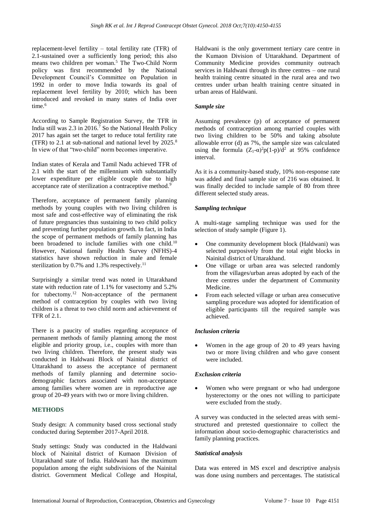replacement-level fertility – total fertility rate (TFR) of 2.1-sustained over a sufficiently long period; this also means two children per woman.<sup>5</sup> The Two-Child Norm policy was first recommended by the National Development Council's Committee on Population in 1992 in order to move India towards its goal of replacement level fertility by 2010; which has been introduced and revoked in many states of India over time.<sup>6</sup>

According to Sample Registration Survey, the TFR in India still was 2.3 in 2016.<sup>7</sup> So the National Health Policy 2017 has again set the target to reduce total fertility rate (TFR) to 2.1 at sub-national and national level by 2025.<sup>8</sup> In view of that "two-child" norm becomes imperative.

Indian states of Kerala and Tamil Nadu achieved TFR of 2.1 with the start of the millennium with substantially lower expenditure per eligible couple due to high acceptance rate of sterilization a contraceptive method.<sup>9</sup>

Therefore, acceptance of permanent family planning methods by young couples with two living children is most safe and cost-effective way of eliminating the risk of future pregnancies thus sustaining to two child policy and preventing further population growth. In fact, in India the scope of permanent methods of family planning has been broadened to include families with one child.<sup>10</sup> However, National family Health Survey (NFHS)-4 statistics have shown reduction in male and female sterilization by 0.7% and 1.3% respectively.<sup>11</sup>

Surprisingly a similar trend was noted in Uttarakhand state with reduction rate of 1.1% for vasectomy and 5.2% for tubectomy.<sup>12</sup> Non-acceptance of the permanent method of contraception by couples with two living children is a threat to two child norm and achievement of TFR of 2.1.

There is a paucity of studies regarding acceptance of permanent methods of family planning among the most eligible and priority group, i.e., couples with more than two living children. Therefore, the present study was conducted in Haldwani Block of Nainital district of Uttarakhand to assess the acceptance of permanent methods of family planning and determine sociodemographic factors associated with non-acceptance among families where women are in reproductive age group of 20-49 years with two or more living children.

#### **METHODS**

Study design: A community based cross sectional study conducted during September 2017-April 2018.

Study settings: Study was conducted in the Haldwani block of Nainital district of Kumaon Division of Uttarakhand state of India. Haldwani has the maximum population among the eight subdivisions of the Nainital district. Government Medical College and Hospital, Haldwani is the only government tertiary care centre in the Kumaon Division of Uttarakhand. Department of Community Medicine provides community outreach services in Haldwani through its three centres – one rural health training centre situated in the rural area and two centres under urban health training centre situated in urban areas of Haldwani.

#### *Sample size*

Assuming prevalence (p) of acceptance of permanent methods of contraception among married couples with two living children to be 50% and taking absolute allowable error (d) as 7%, the sample size was calculated using the formula  $(Z_1-a)^2 p(1-p)/d^2$  at 95% confidence interval.

As it is a community-based study, 10% non-response rate was added and final sample size of 216 was obtained. It was finally decided to include sample of 80 from three different selected study areas.

#### *Sampling technique*

A multi-stage sampling technique was used for the selection of study sample (Figure 1).

- One community development block (Haldwani) was selected purposively from the total eight blocks in Nainital district of Uttarakhand.
- One village or urban area was selected randomly from the villages/urban areas adopted by each of the three centres under the department of Community Medicine.
- From each selected village or urban area consecutive sampling procedure was adopted for identification of eligible participants till the required sample was achieved.

#### *Inclusion criteria*

• Women in the age group of 20 to 49 years having two or more living children and who gave consent were included.

#### *Exclusion criteria*

• Women who were pregnant or who had undergone hysterectomy or the ones not willing to participate were excluded from the study.

A survey was conducted in the selected areas with semistructured and pretested questionnaire to collect the information about socio-demographic characteristics and family planning practices.

#### *Statistical analysis*

Data was entered in MS excel and descriptive analysis was done using numbers and percentages. The statistical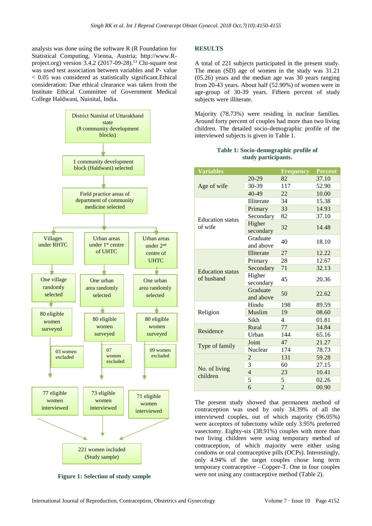analysis was done using the software R (R Foundation for Statistical Computing, Vienna, Austria; http://www.Rproject.org) version  $3.4.2$  (2017-09-28).<sup>13</sup> Chi-square test was used test association between variables and P- value < 0.05 was considered as statistically significant.Ethical consideration: Due ethical clearance was taken from the Institute Ethical Committee of Government Medical College Haldwani, Nainital, India.



**Figure 1: Selection of study sample**

#### **RESULTS**

A total of 221 subjects participated in the present study. The mean (SD) age of women in the study was 31.21 (05.26) years and the median age was 30 years ranging from 20-43 years. About half (52.90%) of women were in age-group of 30-39 years. Fifteen percent of study subjects were illiterate.

Majority (78.73%) were residing in nuclear families. Around forty percent of couples had more than two living children. The detailed socio-demographic profile of the interviewed subjects is given in Table 1.

#### **Table 1: Socio-demographic profile of study participants.**

| <b>Variables</b>                      |                       | <b>Frequency</b> | <b>Percent</b> |
|---------------------------------------|-----------------------|------------------|----------------|
| Age of wife                           | $20-29$               | 82               | 37.10          |
|                                       | 30-39                 | 117              | 52.90          |
|                                       | 40-49                 | 22               | 10.00          |
| <b>Education</b> status<br>of wife    | Illiterate            | 34               | 15.38          |
|                                       | Primary               | 33               | 14.93          |
|                                       | Secondary             | 82               | 37.10          |
|                                       | Higher<br>secondary   | 32               | 14.48          |
|                                       | Graduate<br>and above | 40               | 18.10          |
|                                       | Illiterate            | 27               | 12.22          |
|                                       | Primary               | 28               | 12.67          |
| <b>Education</b> status<br>of husband | Secondary             | 71               | 32.13          |
|                                       | Higher<br>secondary   | 45               | 20.36          |
|                                       | Graduate<br>and above | 50               | 22.62          |
| Religion                              | Hindu                 | 198              | 89.59          |
|                                       | Muslim                | 19               | 08.60          |
|                                       | Sikh                  | 4                | 01.81          |
| Residence                             | Rural                 | 77               | 34.84          |
|                                       | Urban                 | 144              | 65.16          |
|                                       | Joint                 | 47               | 21.27          |
| Type of family                        | Nuclear               | 174              | 78.73          |
|                                       | $\overline{c}$        | 131              | 59.28          |
|                                       | 3                     | 60               | 27.15          |
| No. of living<br>children             | $\overline{4}$        | 23               | 10.41          |
|                                       | 5                     | 5                | 02.26          |
|                                       | 6                     | $\overline{2}$   | 00.90          |

The present study showed that permanent method of contraception was used by only 34.39% of all the interviewed couples, out of which majority (96.05%) were acceptors of tubectomy while only 3.95% preferred vasectomy. Eighty-six (38.91%) couples with more than two living children were using temporary method of contraception, of which majority were either using condoms or oral contraceptive pills (OCPs). Interestingly, only 4.94% of the target couples chose long term temporary contraceptive - Copper-T. One in four couples were not using any contraceptive method (Table 2).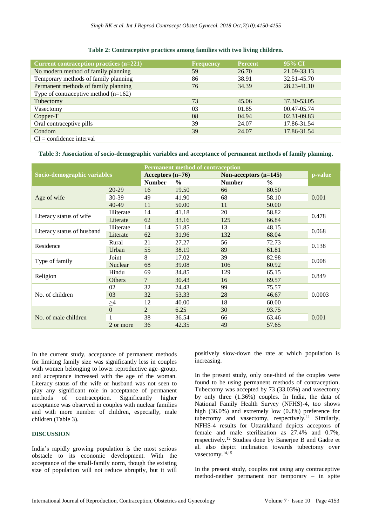| Current contraception practices $(n=221)$ | <b>Frequency</b> | <b>Percent</b> | 95% CI      |  |  |
|-------------------------------------------|------------------|----------------|-------------|--|--|
| No modern method of family planning       | 59               | 26.70          | 21.09-33.13 |  |  |
| Temporary methods of family planning      | 86               | 38.91          | 32.51-45.70 |  |  |
| Permanent methods of family planning      | 76               | 34.39          | 28.23-41.10 |  |  |
| Type of contraceptive method $(n=162)$    |                  |                |             |  |  |
| Tubectomy                                 | 73               | 45.06          | 37.30-53.05 |  |  |
| Vasectomy                                 | 03               | 01.85          | 00.47-05.74 |  |  |
| Copper-T                                  | 08               | 04.94          | 02.31-09.83 |  |  |
| Oral contraceptive pills                  | 39               | 24.07          | 17.86-31.54 |  |  |
| Condom                                    | 39               | 24.07          | 17.86-31.54 |  |  |
| $CI =$ confidence interval                |                  |                |             |  |  |

**Table 2: Contraceptive practices among families with two living children.**

#### **Table 3: Association of socio-demographic variables and acceptance of permanent methods of family planning.**

|                             | <b>Permanent method of contraception</b> |                    |               |                         |               |         |
|-----------------------------|------------------------------------------|--------------------|---------------|-------------------------|---------------|---------|
| Socio-demographic variables |                                          | Acceptors $(n=76)$ |               | Non-acceptors $(n=145)$ |               | p-value |
|                             |                                          | <b>Number</b>      | $\frac{0}{0}$ | <b>Number</b>           | $\frac{6}{9}$ |         |
| Age of wife                 | $20-29$                                  | 16                 | 19.50         | 66                      | 80.50         | 0.001   |
|                             | $30-39$                                  | 49                 | 41.90         | 68                      | 58.10         |         |
|                             | $40-49$                                  | 11                 | 50.00         | 11                      | 50.00         |         |
| Literacy status of wife     | Illiterate                               | 14                 | 41.18         | 20                      | 58.82         | 0.478   |
|                             | Literate                                 | 62                 | 33.16         | 125                     | 66.84         |         |
| Literacy status of husband  | Illiterate                               | 14                 | 51.85         | 13                      | 48.15         | 0.068   |
|                             | Literate                                 | 62                 | 31.96         | 132                     | 68.04         |         |
| Residence                   | Rural                                    | 21                 | 27.27         | 56                      | 72.73         | 0.138   |
|                             | Urban                                    | 55                 | 38.19         | 89                      | 61.81         |         |
| Type of family              | Joint                                    | 8                  | 17.02         | 39                      | 82.98         | 0.008   |
|                             | <b>Nuclear</b>                           | 68                 | 39.08         | 106                     | 60.92         |         |
| Religion                    | Hindu                                    | 69                 | 34.85         | 129                     | 65.15         | 0.849   |
|                             | <b>Others</b>                            | 7                  | 30.43         | 16                      | 69.57         |         |
| No. of children             | 02                                       | 32                 | 24.43         | 99                      | 75.57         | 0.0003  |
|                             | 03                                       | 32                 | 53.33         | 28                      | 46.67         |         |
|                             | $\geq 4$                                 | 12                 | 40.00         | 18                      | 60.00         |         |
| No. of male children        | $\Omega$                                 | 2                  | 6.25          | 30                      | 93.75         | 0.001   |
|                             | 1                                        | 38                 | 36.54         | 66                      | 63.46         |         |
|                             | 2 or more                                | 36                 | 42.35         | 49                      | 57.65         |         |

In the current study, acceptance of permanent methods for limiting family size was significantly less in couples with women belonging to lower reproductive age–group, and acceptance increased with the age of the woman. Literacy status of the wife or husband was not seen to play any significant role in acceptance of permanent methods of contraception. Significantly higher acceptance was observed in couples with nuclear families and with more number of children, especially, male children (Table 3).

#### **DISCUSSION**

India's rapidly growing population is the most serious obstacle to its economic development. With the acceptance of the small-family norm, though the existing size of population will not reduce abruptly, but it will

positively slow-down the rate at which population is increasing.

In the present study, only one-third of the couples were found to be using permanent methods of contraception. Tubectomy was accepted by 73 (33.03%) and vasectomy by only three (1.36%) couples. In India, the data of National Family Health Survey (NFHS)-4, too shows high (36.0%) and extremely low (0.3%) preference for tubectomy and vasectomy, respectively.<sup>11</sup> Similarly, NFHS-4 results for Uttarakhand depicts acceptors of female and male sterilization as 27.4% and 0.7%, respectively.<sup>12</sup> Studies done by Banerjee B and Gadre et al. also depict inclination towards tubectomy over vasectomy.14,15

In the present study, couples not using any contraceptive method-neither permanent nor temporary – in spite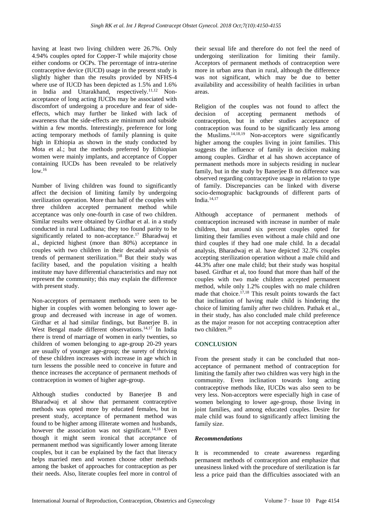having at least two living children were 26.7%. Only 4.94% couples opted for Copper-T while majority chose either condoms or OCPs. The percentage of intra-uterine contraceptive device (IUCD) usage in the present study is slightly higher than the results provided by NFHS-4 where use of IUCD has been depicted as 1.5% and 1.6% in India and Uttarakhand, respectively.<sup>11,12</sup> Nonacceptance of long acting IUCDs may be associated with discomfort of undergoing a procedure and fear of sideeffects, which may further be linked with lack of awareness that the side-effects are minimum and subside within a few months. Interestingly, preference for long acting temporary methods of family planning is quite high in Ethiopia as shown in the study conducted by Mota et al.; but the methods preferred by Ethiopian women were mainly implants, and acceptance of Copper containing IUCDs has been revealed to be relatively  $\log^{16}$ 

Number of living children was found to significantly affect the decision of limiting family by undergoing sterilization operation. More than half of the couples with three children accepted permanent method while acceptance was only one-fourth in case of two children. Similar results were obtained by Girdhar et al. in a study conducted in rural Ludhiana; they too found parity to be significantly related to non-acceptance.<sup>17</sup> Bharadwaj et al., depicted highest (more than 80%) acceptance in couples with two children in their decadal analysis of trends of permanent sterilization.<sup>18</sup> But their study was facility based, and the population visiting a health institute may have differential characteristics and may not represent the community; this may explain the difference with present study.

Non-acceptors of permanent methods were seen to be higher in couples with women belonging to lower agegroup and decreased with increase in age of women. Girdhar et al had similar findings, but Banerjee B. in West Bengal made different observations.<sup>14,17</sup> In India there is trend of marriage of women in early twenties, so children of women belonging to age-group 20-29 years are usually of younger age-group; the surety of thriving of these children increases with increase in age which in turn lessens the possible need to conceive in future and thence increases the acceptance of permanent methods of contraception in women of higher age-group.

Although studies conducted by Banerjee B and Bharadwaj et al show that permanent contraceptive methods was opted more by educated females, but in present study, acceptance of permanent method was found to be higher among illiterate women and husbands, however the association was not significant.<sup>14,18</sup> Even though it might seem ironical that acceptance of permanent method was significantly lower among literate couples, but it can be explained by the fact that literacy helps married men and women choose other methods among the basket of approaches for contraception as per their needs. Also, literate couples feel more in control of their sexual life and therefore do not feel the need of undergoing sterilization for limiting their family. Acceptors of permanent methods of contraception were more in urban area than in rural, although the difference was not significant, which may be due to better availability and accessibility of health facilities in urban areas.

Religion of the couples was not found to affect the decision of accepting permanent methods of contraception, but in other studies acceptance of contraception was found to be significantly less among the Muslims.<sup>14,18,19</sup> Non-acceptors were significantly higher among the couples living in joint families. This suggests the influence of family in decision making among couples. Girdhar et al has shown acceptance of permanent methods more in subjects residing in nuclear family, but in the study by Banerjee B no difference was observed regarding contraceptive usage in relation to type of family. Discrepancies can be linked with diverse socio-demographic backgrounds of different parts of India. $14,17$ 

Although acceptance of permanent methods of contraception increased with increase in number of male children, but around six percent couples opted for limiting their families even without a male child and one third couples if they had one male child. In a decadal analysis, Bharadwaj et al. have depicted 32.3% couples accepting sterilization operation without a male child and 44.3% after one male child; but their study was hospital based. Girdhar et al, too found that more than half of the couples with two male children accepted permanent method, while only 1.2% couples with no male children made that choice.<sup>17,18</sup> This result points towards the fact that inclination of having male child is hindering the choice of limiting family after two children. Pathak et al., in their study, has also concluded male child preference as the major reason for not accepting contraception after two children.<sup>20</sup>

#### **CONCLUSION**

From the present study it can be concluded that nonacceptance of permanent method of contraception for limiting the family after two children was very high in the community. Even inclination towards long acting contraceptive methods like, IUCDs was also seen to be very less. Non-acceptors were especially high in case of women belonging to lower age-group, those living in joint families, and among educated couples. Desire for male child was found to significantly affect limiting the family size.

#### *Recommendations*

It is recommended to create awareness regarding permanent methods of contraception and emphasize that uneasiness linked with the procedure of sterilization is far less a price paid than the difficulties associated with an